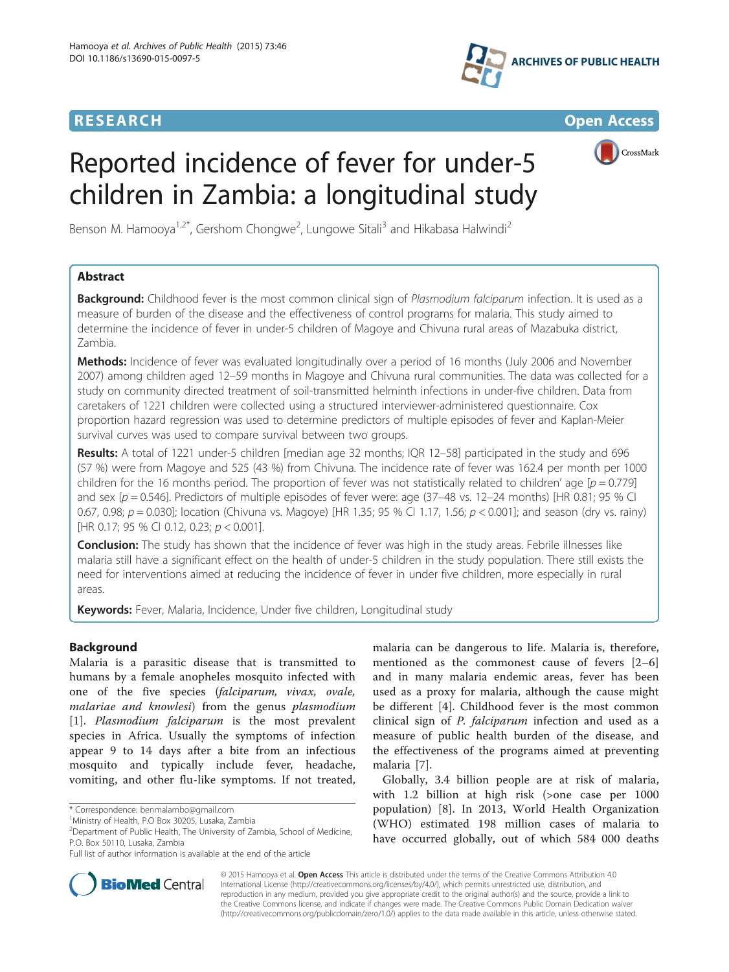



CrossMark

# Reported incidence of fever for under-5 children in Zambia: a longitudinal study

Benson M. Hamooya<sup>1,2\*</sup>, Gershom Chongwe<sup>2</sup>, Lungowe Sitali<sup>3</sup> and Hikabasa Halwindi<sup>2</sup>

# Abstract

Background: Childhood fever is the most common clinical sign of Plasmodium falciparum infection. It is used as a measure of burden of the disease and the effectiveness of control programs for malaria. This study aimed to determine the incidence of fever in under-5 children of Magoye and Chivuna rural areas of Mazabuka district, Zambia.

Methods: Incidence of fever was evaluated longitudinally over a period of 16 months (July 2006 and November 2007) among children aged 12–59 months in Magoye and Chivuna rural communities. The data was collected for a study on community directed treatment of soil-transmitted helminth infections in under-five children. Data from caretakers of 1221 children were collected using a structured interviewer-administered questionnaire. Cox proportion hazard regression was used to determine predictors of multiple episodes of fever and Kaplan-Meier survival curves was used to compare survival between two groups.

Results: A total of 1221 under-5 children [median age 32 months; IQR 12–58] participated in the study and 696 (57 %) were from Magoye and 525 (43 %) from Chivuna. The incidence rate of fever was 162.4 per month per 1000 children for the 16 months period. The proportion of fever was not statistically related to children' age  $[p = 0.779]$ and sex [p = 0.546]. Predictors of multiple episodes of fever were: age (37-48 vs. 12-24 months) [HR 0.81; 95 % CI 0.67, 0.98;  $p = 0.030$ ]; location (Chivuna vs. Magoye) [HR 1.35; 95 % CI 1.17, 1.56;  $p < 0.001$ ]; and season (dry vs. rainy) [HR 0.17; 95 % CI 0.12, 0.23;  $p < 0.001$ ].

**Conclusion:** The study has shown that the incidence of fever was high in the study areas. Febrile illnesses like malaria still have a significant effect on the health of under-5 children in the study population. There still exists the need for interventions aimed at reducing the incidence of fever in under five children, more especially in rural areas.

Keywords: Fever, Malaria, Incidence, Under five children, Longitudinal study

# Background

Malaria is a parasitic disease that is transmitted to humans by a female anopheles mosquito infected with one of the five species (falciparum, vivax, ovale, malariae and knowlesi) from the genus plasmodium [[1\]](#page-5-0). Plasmodium falciparum is the most prevalent species in Africa. Usually the symptoms of infection appear 9 to 14 days after a bite from an infectious mosquito and typically include fever, headache, vomiting, and other flu-like symptoms. If not treated,



Globally, 3.4 billion people are at risk of malaria, with 1.2 billion at high risk (>one case per 1000 population) [\[8](#page-6-0)]. In 2013, World Health Organization (WHO) estimated 198 million cases of malaria to have occurred globally, out of which 584 000 deaths



© 2015 Hamooya et al. Open Access This article is distributed under the terms of the Creative Commons Attribution 4.0 International License [\(http://creativecommons.org/licenses/by/4.0/](http://creativecommons.org/licenses/by/4.0/)), which permits unrestricted use, distribution, and reproduction in any medium, provided you give appropriate credit to the original author(s) and the source, provide a link to the Creative Commons license, and indicate if changes were made. The Creative Commons Public Domain Dedication waiver [\(http://creativecommons.org/publicdomain/zero/1.0/](http://creativecommons.org/publicdomain/zero/1.0/)) applies to the data made available in this article, unless otherwise stated.

<sup>\*</sup> Correspondence: [benmalambo@gmail.com](mailto:benmalambo@gmail.com) <sup>1</sup>

Ministry of Health, P.O Box 30205, Lusaka, Zambia

<sup>2</sup> Department of Public Health, The University of Zambia, School of Medicine, P.O. Box 50110, Lusaka, Zambia

Full list of author information is available at the end of the article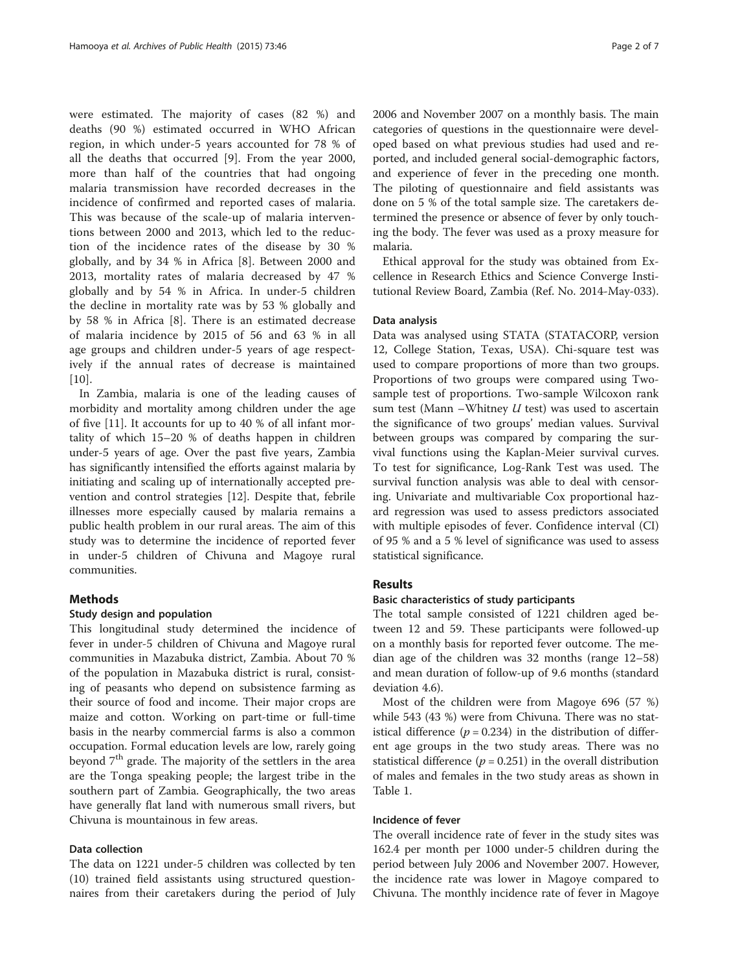were estimated. The majority of cases (82 %) and deaths (90 %) estimated occurred in WHO African region, in which under-5 years accounted for 78 % of all the deaths that occurred [\[9](#page-6-0)]. From the year 2000, more than half of the countries that had ongoing malaria transmission have recorded decreases in the incidence of confirmed and reported cases of malaria. This was because of the scale-up of malaria interventions between 2000 and 2013, which led to the reduction of the incidence rates of the disease by 30 % globally, and by 34 % in Africa [[8\]](#page-6-0). Between 2000 and 2013, mortality rates of malaria decreased by 47 % globally and by 54 % in Africa. In under-5 children the decline in mortality rate was by 53 % globally and by 58 % in Africa [[8\]](#page-6-0). There is an estimated decrease of malaria incidence by 2015 of 56 and 63 % in all age groups and children under-5 years of age respectively if the annual rates of decrease is maintained  $[10]$  $[10]$ .

In Zambia, malaria is one of the leading causes of morbidity and mortality among children under the age of five [[11](#page-6-0)]. It accounts for up to 40 % of all infant mortality of which 15–20 % of deaths happen in children under-5 years of age. Over the past five years, Zambia has significantly intensified the efforts against malaria by initiating and scaling up of internationally accepted prevention and control strategies [[12\]](#page-6-0). Despite that, febrile illnesses more especially caused by malaria remains a public health problem in our rural areas. The aim of this study was to determine the incidence of reported fever in under-5 children of Chivuna and Magoye rural communities.

# Methods

# Study design and population

This longitudinal study determined the incidence of fever in under-5 children of Chivuna and Magoye rural communities in Mazabuka district, Zambia. About 70 % of the population in Mazabuka district is rural, consisting of peasants who depend on subsistence farming as their source of food and income. Their major crops are maize and cotton. Working on part-time or full-time basis in the nearby commercial farms is also a common occupation. Formal education levels are low, rarely going beyond  $7<sup>th</sup>$  grade. The majority of the settlers in the area are the Tonga speaking people; the largest tribe in the southern part of Zambia. Geographically, the two areas have generally flat land with numerous small rivers, but Chivuna is mountainous in few areas.

# Data collection

The data on 1221 under-5 children was collected by ten (10) trained field assistants using structured questionnaires from their caretakers during the period of July 2006 and November 2007 on a monthly basis. The main categories of questions in the questionnaire were developed based on what previous studies had used and reported, and included general social-demographic factors, and experience of fever in the preceding one month. The piloting of questionnaire and field assistants was done on 5 % of the total sample size. The caretakers determined the presence or absence of fever by only touching the body. The fever was used as a proxy measure for malaria.

Ethical approval for the study was obtained from Excellence in Research Ethics and Science Converge Institutional Review Board, Zambia (Ref. No. 2014-May-033).

### Data analysis

Data was analysed using STATA (STATACORP, version 12, College Station, Texas, USA). Chi-square test was used to compare proportions of more than two groups. Proportions of two groups were compared using Twosample test of proportions. Two-sample Wilcoxon rank sum test (Mann –Whitney  $U$  test) was used to ascertain the significance of two groups' median values. Survival between groups was compared by comparing the survival functions using the Kaplan-Meier survival curves. To test for significance, Log-Rank Test was used. The survival function analysis was able to deal with censoring. Univariate and multivariable Cox proportional hazard regression was used to assess predictors associated with multiple episodes of fever. Confidence interval (CI) of 95 % and a 5 % level of significance was used to assess statistical significance.

# Results

# Basic characteristics of study participants

The total sample consisted of 1221 children aged between 12 and 59. These participants were followed-up on a monthly basis for reported fever outcome. The median age of the children was 32 months (range 12–58) and mean duration of follow-up of 9.6 months (standard deviation 4.6).

Most of the children were from Magoye 696 (57 %) while 543 (43 %) were from Chivuna. There was no statistical difference ( $p = 0.234$ ) in the distribution of different age groups in the two study areas. There was no statistical difference ( $p = 0.251$ ) in the overall distribution of males and females in the two study areas as shown in Table [1.](#page-2-0)

# Incidence of fever

The overall incidence rate of fever in the study sites was 162.4 per month per 1000 under-5 children during the period between July 2006 and November 2007. However, the incidence rate was lower in Magoye compared to Chivuna. The monthly incidence rate of fever in Magoye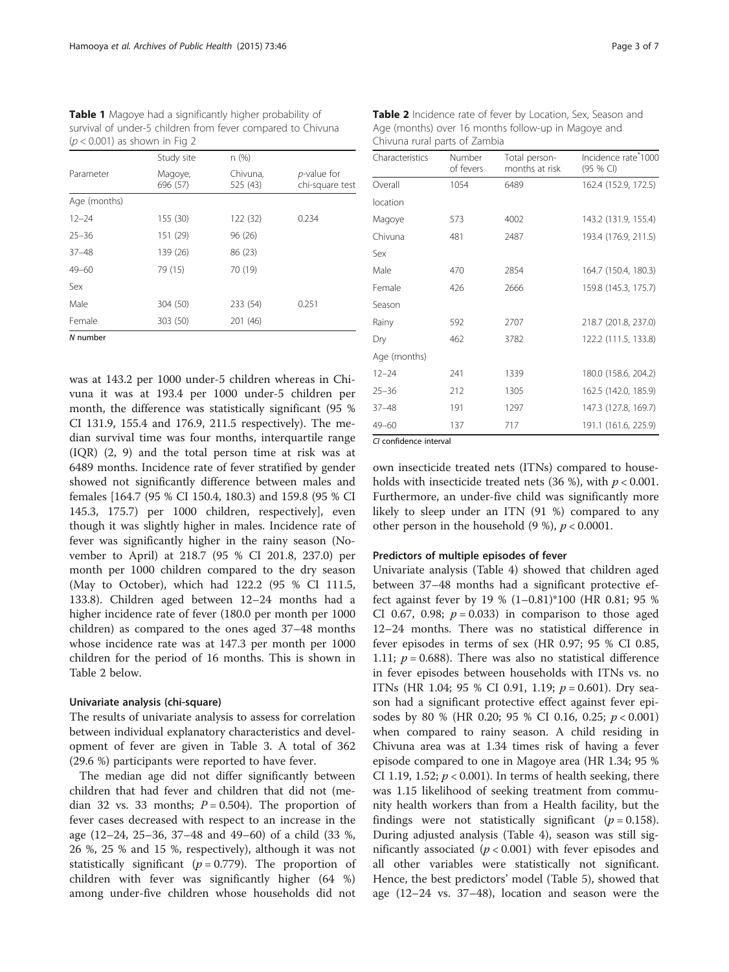| $\psi \setminus 0.001$ ) as shown in Fig. 2 |                     |                      |                                        |  |  |
|---------------------------------------------|---------------------|----------------------|----------------------------------------|--|--|
|                                             | Study site          | n(%)                 |                                        |  |  |
| Parameter                                   | Magoye,<br>696 (57) | Chivuna,<br>525 (43) | <i>p</i> -value for<br>chi-square test |  |  |
| Age (months)                                |                     |                      |                                        |  |  |
| $12 - 24$                                   | 155 (30)            | 122 (32)             | 0.234                                  |  |  |
| $25 - 36$                                   | 151 (29)            | 96 (26)              |                                        |  |  |
| $37 - 48$                                   | 139 (26)            | 86 (23)              |                                        |  |  |
| $49 - 60$                                   | 79 (15)             | 70 (19)              |                                        |  |  |
| Sex                                         |                     |                      |                                        |  |  |
| Male                                        | 304 (50)            | 233 (54)             | 0.251                                  |  |  |
| Female                                      | 303 (50)            | 201 (46)             |                                        |  |  |
| $\bullet$ <i>i</i> <b>i</b>                 |                     |                      |                                        |  |  |

<span id="page-2-0"></span>Table 1 Magoye had a significantly higher probability of survival of under-5 children from fever compared to Chivuna  $(n \times 0.001)$  as shown in Fig. [2](#page-4-0)

N number

was at 143.2 per 1000 under-5 children whereas in Chivuna it was at 193.4 per 1000 under-5 children per month, the difference was statistically significant (95 % CI 131.9, 155.4 and 176.9, 211.5 respectively). The median survival time was four months, interquartile range (IQR) (2, 9) and the total person time at risk was at 6489 months. Incidence rate of fever stratified by gender showed not significantly difference between males and females [164.7 (95 % CI 150.4, 180.3) and 159.8 (95 % CI 145.3, 175.7) per 1000 children, respectively], even though it was slightly higher in males. Incidence rate of fever was significantly higher in the rainy season (November to April) at 218.7 (95 % CI 201.8, 237.0) per month per 1000 children compared to the dry season (May to October), which had 122.2 (95 % CI 111.5, 133.8). Children aged between 12–24 months had a higher incidence rate of fever (180.0 per month per 1000 children) as compared to the ones aged 37–48 months whose incidence rate was at 147.3 per month per 1000 children for the period of 16 months. This is shown in Table 2 below.

# Univariate analysis (chi-square)

The results of univariate analysis to assess for correlation between individual explanatory characteristics and development of fever are given in Table [3](#page-3-0). A total of 362 (29.6 %) participants were reported to have fever.

The median age did not differ significantly between children that had fever and children that did not (median 32 vs. 33 months;  $P = 0.504$ ). The proportion of fever cases decreased with respect to an increase in the age (12–24, 25–36, 37–48 and 49–60) of a child (33 %, 26 %, 25 % and 15 %, respectively), although it was not statistically significant ( $p = 0.779$ ). The proportion of children with fever was significantly higher (64 %) among under-five children whose households did not

Table 2 Incidence rate of fever by Location, Sex, Season and Age (months) over 16 months follow-up in Magoye and Chivuna rural parts of Zambia

| Characteristics | Number<br>of fevers | Total person-<br>months at risk | Incidence rate <sup>®</sup> 1000<br>(95 % CI) |
|-----------------|---------------------|---------------------------------|-----------------------------------------------|
| Overall         | 1054                | 6489                            | 162.4 (152.9, 172.5)                          |
| location        |                     |                                 |                                               |
| Magoye          | 573                 | 4002                            | 143.2 (131.9, 155.4)                          |
| Chivuna         | 481                 | 2487                            | 193.4 (176.9, 211.5)                          |
| Sex             |                     |                                 |                                               |
| Male            | 470                 | 2854                            | 164.7 (150.4, 180.3)                          |
| Female          | 426                 | 2666                            | 159.8 (145.3, 175.7)                          |
| Season          |                     |                                 |                                               |
| Rainy           | 592                 | 2707                            | 218.7 (201.8, 237.0)                          |
| Dry             | 462                 | 3782                            | 122.2 (111.5, 133.8)                          |
| Age (months)    |                     |                                 |                                               |
| $12 - 24$       | 241                 | 1339                            | 180.0 (158.6, 204.2)                          |
| $25 - 36$       | 212                 | 1305                            | 162.5 (142.0, 185.9)                          |
| $37 - 48$       | 191                 | 1297                            | 147.3 (127.8, 169.7)                          |
| $49 - 60$       | 137                 | 717                             | 191.1 (161.6, 225.9)                          |

CI confidence interval

own insecticide treated nets (ITNs) compared to households with insecticide treated nets (36 %), with  $p < 0.001$ . Furthermore, an under-five child was significantly more likely to sleep under an ITN (91 %) compared to any other person in the household  $(9\%)$ ,  $p < 0.0001$ .

#### Predictors of multiple episodes of fever

Univariate analysis (Table [4](#page-3-0)) showed that children aged between 37–48 months had a significant protective effect against fever by 19 % (1–0.81)\*100 (HR 0.81; 95 % CI 0.67, 0.98;  $p = 0.033$ ) in comparison to those aged 12–24 months. There was no statistical difference in fever episodes in terms of sex (HR 0.97; 95 % CI 0.85, 1.11;  $p = 0.688$ ). There was also no statistical difference in fever episodes between households with ITNs vs. no ITNs (HR 1.04; 95 % CI 0.91, 1.19;  $p = 0.601$ ). Dry season had a significant protective effect against fever episodes by 80 % (HR 0.20; 95 % CI 0.16, 0.25;  $p < 0.001$ ) when compared to rainy season. A child residing in Chivuna area was at 1.34 times risk of having a fever episode compared to one in Magoye area (HR 1.34; 95 % CI 1.19, 1.52;  $p < 0.001$ ). In terms of health seeking, there was 1.15 likelihood of seeking treatment from community health workers than from a Health facility, but the findings were not statistically significant ( $p = 0.158$ ). During adjusted analysis (Table [4](#page-3-0)), season was still significantly associated ( $p < 0.001$ ) with fever episodes and all other variables were statistically not significant. Hence, the best predictors' model (Table [5](#page-3-0)), showed that age (12–24 vs. 37–48), location and season were the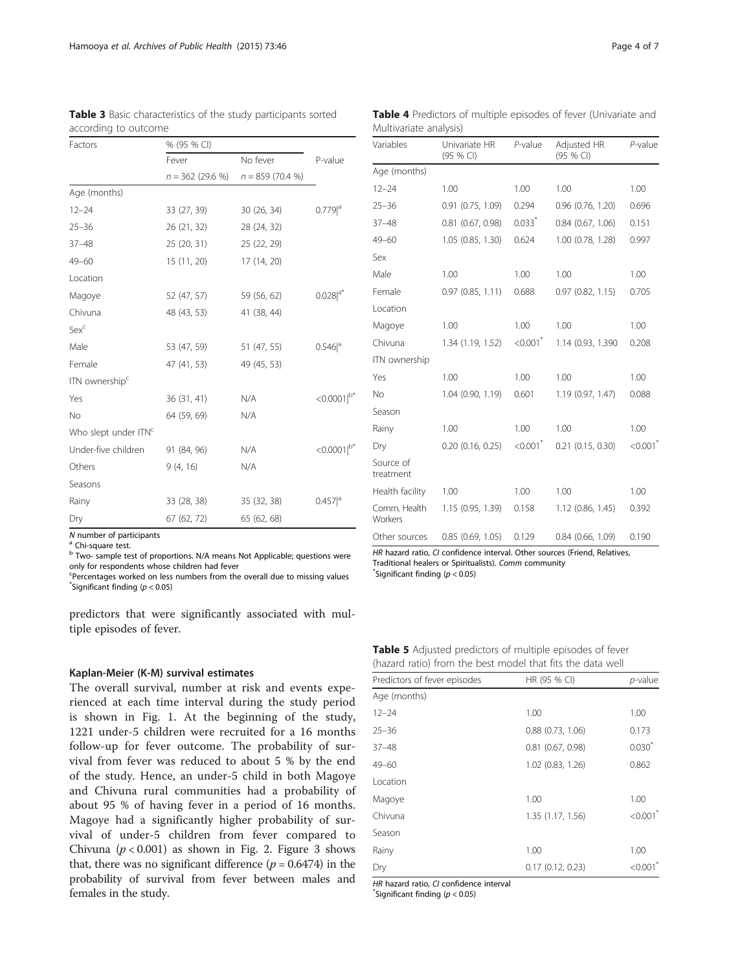| Factors                          | % (95 % CI)       |                   |                      |  |
|----------------------------------|-------------------|-------------------|----------------------|--|
|                                  | Fever             | No fever          | P-value              |  |
|                                  | $n = 362(29.6\%)$ | $n = 859(70.4\%)$ |                      |  |
| Age (months)                     |                   |                   |                      |  |
| $12 - 24$                        | 33 (27, 39)       | 30(26, 34)        | $0.779$ <sup>a</sup> |  |
| $25 - 36$                        | 26 (21, 32)       | 28 (24, 32)       |                      |  |
| $37 - 48$                        | 25(20, 31)        | 25 (22, 29)       |                      |  |
| $49 - 60$                        | 15(11, 20)        | 17 (14, 20)       |                      |  |
| Location                         |                   |                   |                      |  |
| Magoye                           | 52 (47, 57)       | 59 (56, 62)       | $0.028 ^{a*}$        |  |
| Chivuna                          | 48 (43, 53)       | 41 (38, 44)       |                      |  |
| Sexc                             |                   |                   |                      |  |
| Male                             | 53 (47, 59)       | 51 (47, 55)       | $0.546$ <sup>a</sup> |  |
| Female                           | 47 (41, 53)       | 49 (45, 53)       |                      |  |
| ITN ownership <sup>c</sup>       |                   |                   |                      |  |
| Yes                              | 36(31, 41)        | N/A               | $< 0.0001  ^{b*}$    |  |
| No                               | 64 (59, 69)       | N/A               |                      |  |
| Who slept under ITN <sup>c</sup> |                   |                   |                      |  |
| Under-five children              | 91 (84, 96)       | N/A               | $< 0.0001  ^{b*}$    |  |
| Others                           | 9(4, 16)          | N/A               |                      |  |
| Seasons                          |                   |                   |                      |  |
| Rainy                            | 33 (28, 38)       | 35 (32, 38)       | $0.457$ <sup>a</sup> |  |
| Dry                              | 67 (62, 72)       | 65 (62, 68)       |                      |  |
| N number of norticinonts         |                   |                   |                      |  |

<span id="page-3-0"></span>Table 3 Basic characteristics of the study participants sorted according to outcome

<sup>N</sup> number of participants <sup>a</sup> Chi-square test.

<sup>b</sup> Two- sample test of proportions. N/A means Not Applicable; questions were only for respondents whose children had fever

Percentages worked on less numbers from the overall due to missing values  $\check{}\,$ Significant finding ( $p < 0.05$ )

predictors that were significantly associated with multiple episodes of fever.

### Kaplan-Meier (K-M) survival estimates

The overall survival, number at risk and events experienced at each time interval during the study period is shown in Fig. [1](#page-4-0). At the beginning of the study, 1221 under-5 children were recruited for a 16 months follow-up for fever outcome. The probability of survival from fever was reduced to about 5 % by the end of the study. Hence, an under-5 child in both Magoye and Chivuna rural communities had a probability of about 95 % of having fever in a period of 16 months. Magoye had a significantly higher probability of survival of under-5 children from fever compared to Chivuna ( $p < 0.001$ ) as shown in Fig. [2](#page-4-0). Figure [3](#page-4-0) shows that, there was no significant difference ( $p = 0.6474$ ) in the probability of survival from fever between males and females in the study.

| <b>Table 4</b> Predictors of multiple episodes of fever (Univariate and |  |  |  |
|-------------------------------------------------------------------------|--|--|--|
| Multivariate analysis)                                                  |  |  |  |

| Variables               | Univariate HR<br>$(95%$ CI) | P-value                | Adjusted HR<br>(95 % CI) | $P$ -value             |
|-------------------------|-----------------------------|------------------------|--------------------------|------------------------|
| Age (months)            |                             |                        |                          |                        |
| $12 - 24$               | 1.00                        | 1.00                   | 1.00                     | 1.00                   |
| $25 - 36$               | $0.91$ $(0.75, 1.09)$       | 0.294                  | $0.96$ $(0.76, 1.20)$    | 0.696                  |
| $37 - 48$               | $0.81$ $(0.67, 0.98)$       | $0.033$ <sup>*</sup>   | $0.84$ $(0.67, 1.06)$    | 0.151                  |
| 49-60                   | 1.05(0.85, 1.30)            | 0.624                  | 1.00 (0.78, 1.28)        | 0.997                  |
| Sex                     |                             |                        |                          |                        |
| Male                    | 1.00                        | 1.00                   | 1.00                     | 1.00                   |
| Female                  | 0.97(0.85, 1.11)            | 0.688                  | 0.97(0.82, 1.15)         | 0.705                  |
| Location                |                             |                        |                          |                        |
| Magoye                  | 1.00                        | 1.00                   | 1.00                     | 1.00                   |
| Chivuna                 | 1.34(1.19, 1.52)            | $< 0.001$ <sup>*</sup> | 1.14 (0.93, 1.390)       | 0.208                  |
| ITN ownership           |                             |                        |                          |                        |
| Yes                     | 1.00                        | 1.00                   | 1.00                     | 1.00                   |
| No                      | 1.04 (0.90, 1.19)           | 0.601                  | 1.19 (0.97, 1.47)        | 0.088                  |
| Season                  |                             |                        |                          |                        |
| Rainy                   | 1.00                        | 1.00                   | 1.00                     | 1.00                   |
| Dry                     | $0.20$ (0.16, 0.25)         | $< 0.001$ <sup>*</sup> | 0.21 (0.15, 0.30)        | $< 0.001$ <sup>*</sup> |
| Source of<br>treatment  |                             |                        |                          |                        |
| Health facility         | 1.00                        | 1.00                   | 1.00                     | 1.00                   |
| Comm. Health<br>Workers | 1.15 (0.95, 1.39)           | 0.158                  | 1.12(0.86, 1.45)         | 0.392                  |
| Other sources           | $0.85$ (0.69, 1.05)         | 0.129                  | $0.84$ (0.66, 1.09)      | 0.190                  |

HR hazard ratio, CI confidence interval. Other sources (Friend, Relatives, Traditional healers or Spiritualists). Comm community \*  $*$ Significant finding ( $p < 0.05$ )

Table 5 Adjusted predictors of multiple episodes of fever (hazard ratio) from the best model that fits the data well

| Predictors of fever episodes | HR (95 % CI)          | $p$ -value             |
|------------------------------|-----------------------|------------------------|
| Age (months)                 |                       |                        |
| $12 - 24$                    | 1.00                  | 1.00                   |
| $25 - 36$                    | $0.88$ $(0.73, 1.06)$ | 0.173                  |
| $37 - 48$                    | $0.81$ $(0.67, 0.98)$ | $0.030*$               |
| $49 - 60$                    | 1.02 (0.83, 1.26)     | 0.862                  |
| Location                     |                       |                        |
| Magoye                       | 1.00                  | 1.00                   |
| Chivuna                      | 1.35 (1.17, 1.56)     | $< 0.001$ <sup>*</sup> |
| Season                       |                       |                        |
| Rainy                        | 1.00                  | 1.00                   |
| Dry                          | 0.17(0.12, 0.23)      | < 0.001                |

HR hazard ratio, CI confidence interval

 $*$ Significant finding ( $p < 0.05$ )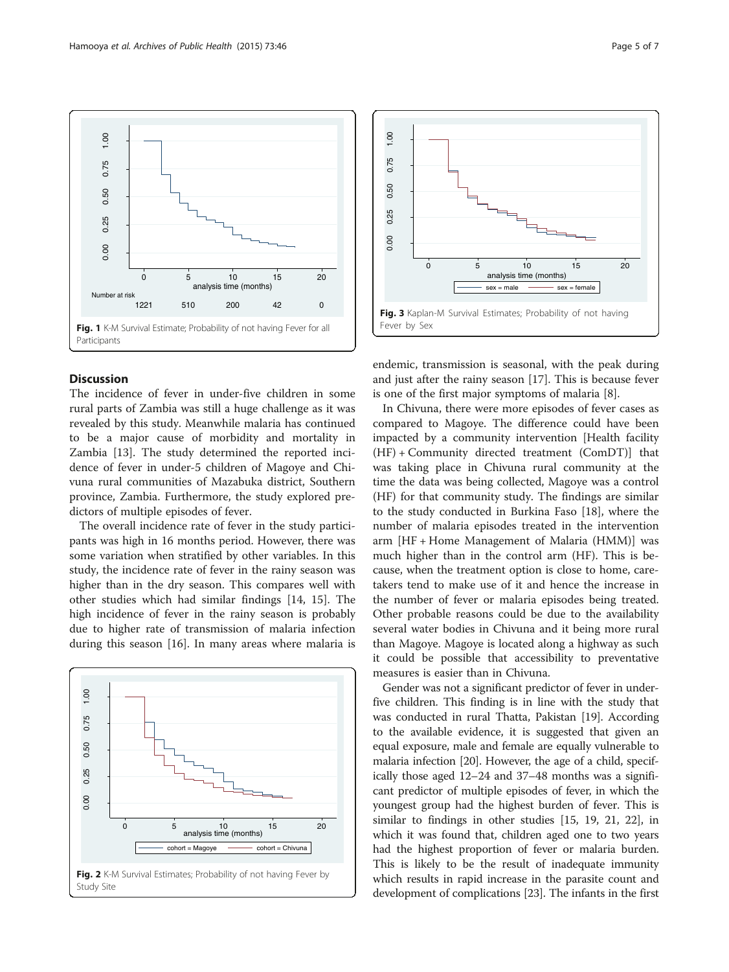<span id="page-4-0"></span>

# **Discussion**

 $1,00$ 

0.75

The incidence of fever in under-five children in some rural parts of Zambia was still a huge challenge as it was revealed by this study. Meanwhile malaria has continued to be a major cause of morbidity and mortality in Zambia [[13](#page-6-0)]. The study determined the reported incidence of fever in under-5 children of Magoye and Chivuna rural communities of Mazabuka district, Southern province, Zambia. Furthermore, the study explored predictors of multiple episodes of fever.

The overall incidence rate of fever in the study participants was high in 16 months period. However, there was some variation when stratified by other variables. In this study, the incidence rate of fever in the rainy season was higher than in the dry season. This compares well with other studies which had similar findings [[14, 15](#page-6-0)]. The high incidence of fever in the rainy season is probably due to higher rate of transmission of malaria infection during this season [[16\]](#page-6-0). In many areas where malaria is





endemic, transmission is seasonal, with the peak during and just after the rainy season [[17\]](#page-6-0). This is because fever is one of the first major symptoms of malaria [\[8](#page-6-0)].

In Chivuna, there were more episodes of fever cases as compared to Magoye. The difference could have been impacted by a community intervention [Health facility (HF) + Community directed treatment (ComDT)] that was taking place in Chivuna rural community at the time the data was being collected, Magoye was a control (HF) for that community study. The findings are similar to the study conducted in Burkina Faso [\[18](#page-6-0)], where the number of malaria episodes treated in the intervention arm [HF + Home Management of Malaria (HMM)] was much higher than in the control arm (HF). This is because, when the treatment option is close to home, caretakers tend to make use of it and hence the increase in the number of fever or malaria episodes being treated. Other probable reasons could be due to the availability several water bodies in Chivuna and it being more rural than Magoye. Magoye is located along a highway as such it could be possible that accessibility to preventative measures is easier than in Chivuna.

Gender was not a significant predictor of fever in underfive children. This finding is in line with the study that was conducted in rural Thatta, Pakistan [\[19\]](#page-6-0). According to the available evidence, it is suggested that given an equal exposure, male and female are equally vulnerable to malaria infection [[20](#page-6-0)]. However, the age of a child, specifically those aged 12–24 and 37–48 months was a significant predictor of multiple episodes of fever, in which the youngest group had the highest burden of fever. This is similar to findings in other studies [\[15, 19](#page-6-0), [21](#page-6-0), [22\]](#page-6-0), in which it was found that, children aged one to two years had the highest proportion of fever or malaria burden. This is likely to be the result of inadequate immunity which results in rapid increase in the parasite count and development of complications [\[23\]](#page-6-0). The infants in the first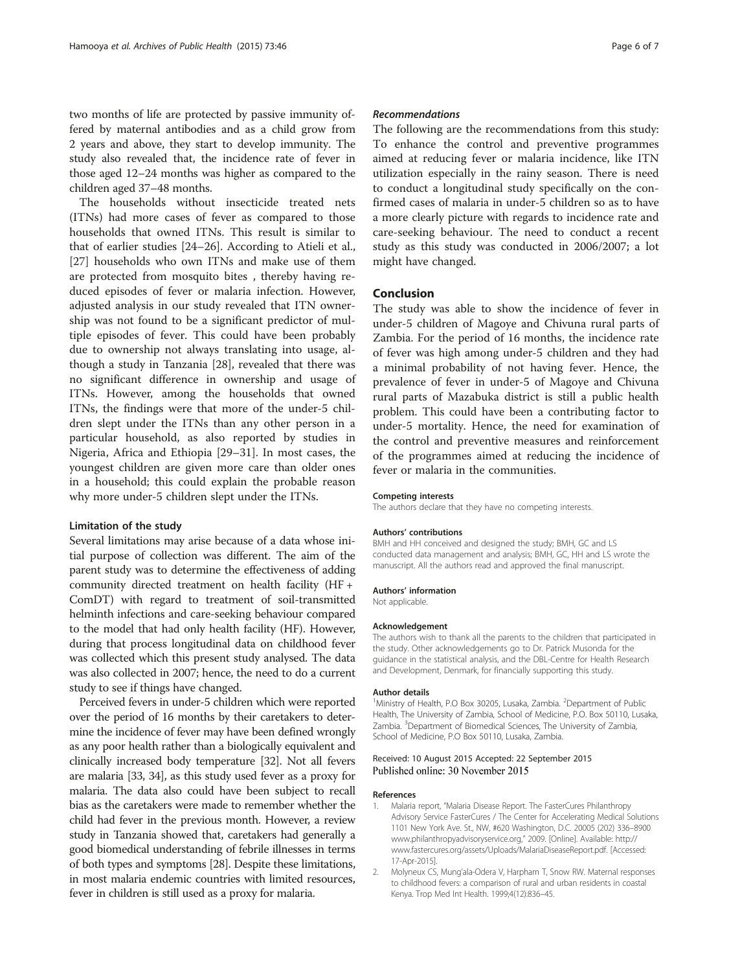<span id="page-5-0"></span>two months of life are protected by passive immunity offered by maternal antibodies and as a child grow from 2 years and above, they start to develop immunity. The study also revealed that, the incidence rate of fever in those aged 12–24 months was higher as compared to the children aged 37–48 months.

The households without insecticide treated nets (ITNs) had more cases of fever as compared to those households that owned ITNs. This result is similar to that of earlier studies [\[24](#page-6-0)–[26\]](#page-6-0). According to Atieli et al., [[27\]](#page-6-0) households who own ITNs and make use of them are protected from mosquito bites , thereby having reduced episodes of fever or malaria infection. However, adjusted analysis in our study revealed that ITN ownership was not found to be a significant predictor of multiple episodes of fever. This could have been probably due to ownership not always translating into usage, although a study in Tanzania [\[28](#page-6-0)], revealed that there was no significant difference in ownership and usage of ITNs. However, among the households that owned ITNs, the findings were that more of the under-5 children slept under the ITNs than any other person in a particular household, as also reported by studies in Nigeria, Africa and Ethiopia [\[29](#page-6-0)–[31\]](#page-6-0). In most cases, the youngest children are given more care than older ones in a household; this could explain the probable reason why more under-5 children slept under the ITNs.

#### Limitation of the study

Several limitations may arise because of a data whose initial purpose of collection was different. The aim of the parent study was to determine the effectiveness of adding community directed treatment on health facility (HF + ComDT) with regard to treatment of soil-transmitted helminth infections and care-seeking behaviour compared to the model that had only health facility (HF). However, during that process longitudinal data on childhood fever was collected which this present study analysed. The data was also collected in 2007; hence, the need to do a current study to see if things have changed.

Perceived fevers in under-5 children which were reported over the period of 16 months by their caretakers to determine the incidence of fever may have been defined wrongly as any poor health rather than a biologically equivalent and clinically increased body temperature [[32](#page-6-0)]. Not all fevers are malaria [\[33, 34](#page-6-0)], as this study used fever as a proxy for malaria. The data also could have been subject to recall bias as the caretakers were made to remember whether the child had fever in the previous month. However, a review study in Tanzania showed that, caretakers had generally a good biomedical understanding of febrile illnesses in terms of both types and symptoms [\[28\]](#page-6-0). Despite these limitations, in most malaria endemic countries with limited resources, fever in children is still used as a proxy for malaria.

#### Recommendations

The following are the recommendations from this study: To enhance the control and preventive programmes aimed at reducing fever or malaria incidence, like ITN utilization especially in the rainy season. There is need to conduct a longitudinal study specifically on the confirmed cases of malaria in under-5 children so as to have a more clearly picture with regards to incidence rate and care-seeking behaviour. The need to conduct a recent study as this study was conducted in 2006/2007; a lot might have changed.

#### Conclusion

The study was able to show the incidence of fever in under-5 children of Magoye and Chivuna rural parts of Zambia. For the period of 16 months, the incidence rate of fever was high among under-5 children and they had a minimal probability of not having fever. Hence, the prevalence of fever in under-5 of Magoye and Chivuna rural parts of Mazabuka district is still a public health problem. This could have been a contributing factor to under-5 mortality. Hence, the need for examination of the control and preventive measures and reinforcement of the programmes aimed at reducing the incidence of fever or malaria in the communities.

#### Competing interests

The authors declare that they have no competing interests.

#### Authors' contributions

BMH and HH conceived and designed the study; BMH, GC and LS conducted data management and analysis; BMH, GC, HH and LS wrote the manuscript. All the authors read and approved the final manuscript.

#### Authors' information

Not applicable.

#### Acknowledgement

The authors wish to thank all the parents to the children that participated in the study. Other acknowledgements go to Dr. Patrick Musonda for the guidance in the statistical analysis, and the DBL-Centre for Health Research and Development, Denmark, for financially supporting this study.

#### Author details

<sup>1</sup>Ministry of Health, P.O Box 30205, Lusaka, Zambia. <sup>2</sup>Department of Public Health, The University of Zambia, School of Medicine, P.O. Box 50110, Lusaka, Zambia. <sup>3</sup>Department of Biomedical Sciences, The University of Zambia, School of Medicine, P.O Box 50110, Lusaka, Zambia.

#### Received: 10 August 2015 Accepted: 22 September 2015 Published online: 30 November 2015

#### References

- 1. Malaria report, "Malaria Disease Report. The FasterCures Philanthropy Advisory Service FasterCures / The Center for Accelerating Medical Solutions 1101 New York Ave. St., NW, #620 Washington, D.C. 20005 (202) 336–8900 [www.philanthropyadvisoryservice.org](http://www.philanthropyadvisoryservice.org/)," 2009. [Online]. Available: [http://](http://www.fastercures.org/assets/Uploads/MalariaDiseaseReport.pdf) [www.fastercures.org/assets/Uploads/MalariaDiseaseReport.pdf](http://www.fastercures.org/assets/Uploads/MalariaDiseaseReport.pdf). [Accessed: 17-Apr-2015].
- 2. Molyneux CS, Mung'ala-Odera V, Harpham T, Snow RW. Maternal responses to childhood fevers: a comparison of rural and urban residents in coastal Kenya. Trop Med Int Health. 1999;4(12):836–45.